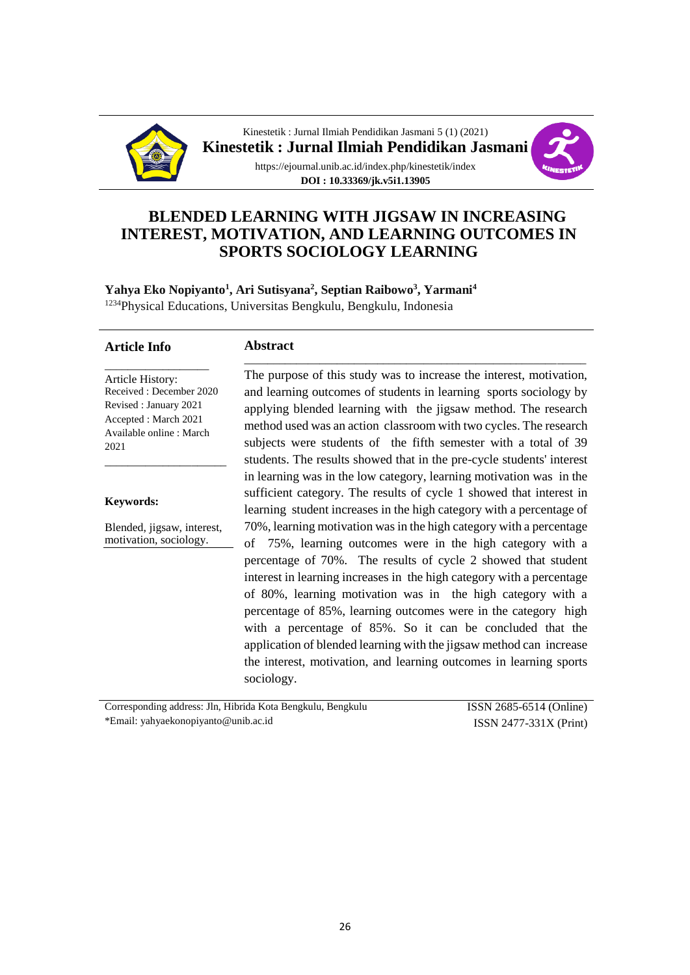

Kinestetik : Jurnal Ilmiah Pendidikan Jasmani 5 (1) (2021) **Kinestetik : Jurnal Ilmiah Pendidikan Jasmani** https://ejournal.unib.ac.id/index.php/kinestetik/index **DOI : 10.33369/jk.v5i1.13905**



### **BLENDED LEARNING WITH JIGSAW IN INCREASING INTEREST, MOTIVATION, AND LEARNING OUTCOMES IN SPORTS SOCIOLOGY LEARNING**

**Yahya Eko Nopiyanto<sup>1</sup> , Ari Sutisyana<sup>2</sup> , Septian Raibowo<sup>3</sup> , Yarmani<sup>4</sup>** <sup>1234</sup>Physical Educations, Universitas Bengkulu, Bengkulu, Indonesia

#### **Article Info**

#### **Abstract**

Article History: Received : December 2020 Revised : January 2021 Accepted : March 2021 Available online : March 2021

\_\_\_\_\_\_\_\_\_\_\_\_\_\_\_\_\_\_\_\_\_

\_\_\_\_\_\_\_\_\_\_\_\_\_\_\_\_\_\_

#### **Keywords:**

Blended, jigsaw, interest, motivation, sociology.

The purpose of this study was to increase the interest, motivation, and learning outcomes of students in learning sports sociology by applying blended learning with the jigsaw method. The research method used was an action classroom with two cycles. The research subjects were students of the fifth semester with a total of 39 students. The results showed that in the pre-cycle students' interest in learning was in the low category, learning motivation was in the sufficient category. The results of cycle 1 showed that interest in learning student increases in the high category with a percentage of 70%, learning motivation was in the high category with a percentage of 75%, learning outcomes were in the high category with a percentage of 70%. The results of cycle 2 showed that student interest in learning increases in the high category with a percentage of 80%, learning motivation was in the high category with a percentage of 85%, learning outcomes were in the category high with a percentage of 85%. So it can be concluded that the application of blended learning with the jigsaw method can increase the interest, motivation, and learning outcomes in learning sports sociology.

\_\_\_\_\_\_\_\_\_\_\_\_\_\_\_\_\_\_\_\_\_\_\_\_\_\_\_\_\_\_\_\_\_\_\_\_\_\_\_\_\_\_\_\_\_\_\_\_\_\_\_\_\_\_\_\_\_\_\_

Corresponding address: Jln, Hibrida Kota Bengkulu, Bengkulu \*Email: yahyaekonopiyanto@unib.ac.id

ISSN 2685-6514 (Online) ISSN 2477-331X (Print)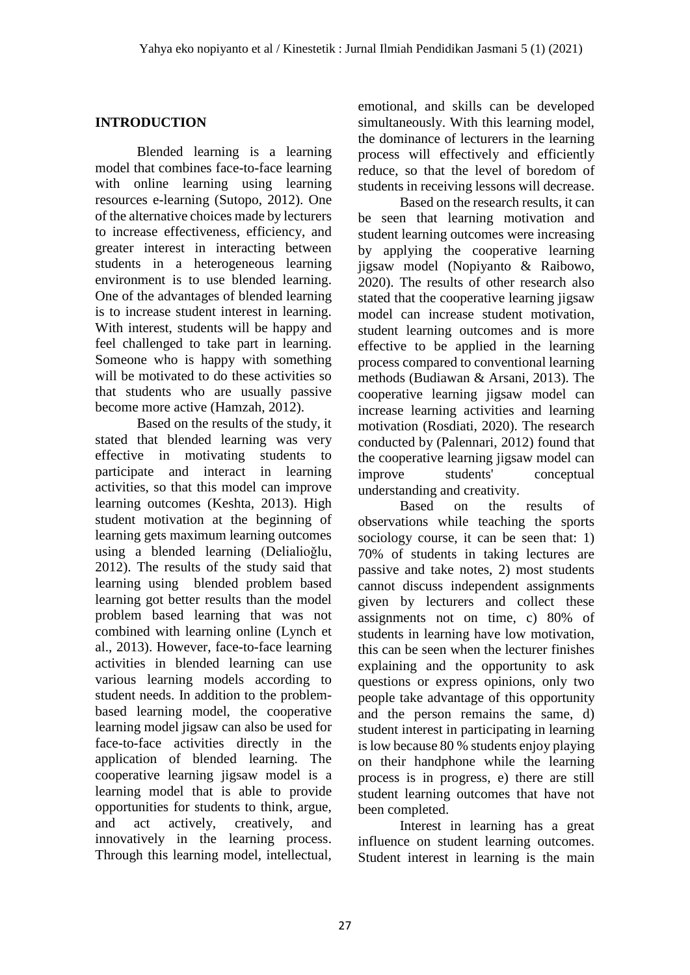### **INTRODUCTION**

Blended learning is a learning model that combines face-to-face learning with online learning using learning resources e-learning (Sutopo, 2012). One of the alternative choices made by lecturers to increase effectiveness, efficiency, and greater interest in interacting between students in a heterogeneous learning environment is to use blended learning. One of the advantages of blended learning is to increase student interest in learning. With interest, students will be happy and feel challenged to take part in learning. Someone who is happy with something will be motivated to do these activities so that students who are usually passive become more active (Hamzah, 2012).

Based on the results of the study, it stated that blended learning was very effective in motivating students to participate and interact in learning activities, so that this model can improve learning outcomes (Keshta, 2013). High student motivation at the beginning of learning gets maximum learning outcomes using a blended learning (Delialioğlu, 2012). The results of the study said that learning using blended problem based learning got better results than the model problem based learning that was not combined with learning online (Lynch et al., 2013). However, face-to-face learning activities in blended learning can use various learning models according to student needs. In addition to the problembased learning model, the cooperative learning model jigsaw can also be used for face-to-face activities directly in the application of blended learning. The cooperative learning jigsaw model is a learning model that is able to provide opportunities for students to think, argue, and act actively, creatively, and innovatively in the learning process. Through this learning model, intellectual,

emotional, and skills can be developed simultaneously. With this learning model, the dominance of lecturers in the learning process will effectively and efficiently reduce, so that the level of boredom of students in receiving lessons will decrease.

Based on the research results, it can be seen that learning motivation and student learning outcomes were increasing by applying the cooperative learning jigsaw model (Nopiyanto & Raibowo, 2020). The results of other research also stated that the cooperative learning jigsaw model can increase student motivation, student learning outcomes and is more effective to be applied in the learning process compared to conventional learning methods (Budiawan & Arsani, 2013). The cooperative learning jigsaw model can increase learning activities and learning motivation (Rosdiati, 2020). The research conducted by (Palennari, 2012) found that the cooperative learning jigsaw model can improve students' conceptual understanding and creativity.

Based on the results of observations while teaching the sports sociology course, it can be seen that: 1) 70% of students in taking lectures are passive and take notes, 2) most students cannot discuss independent assignments given by lecturers and collect these assignments not on time, c) 80% of students in learning have low motivation, this can be seen when the lecturer finishes explaining and the opportunity to ask questions or express opinions, only two people take advantage of this opportunity and the person remains the same, d) student interest in participating in learning is low because 80 % students enjoy playing on their handphone while the learning process is in progress, e) there are still student learning outcomes that have not been completed.

Interest in learning has a great influence on student learning outcomes. Student interest in learning is the main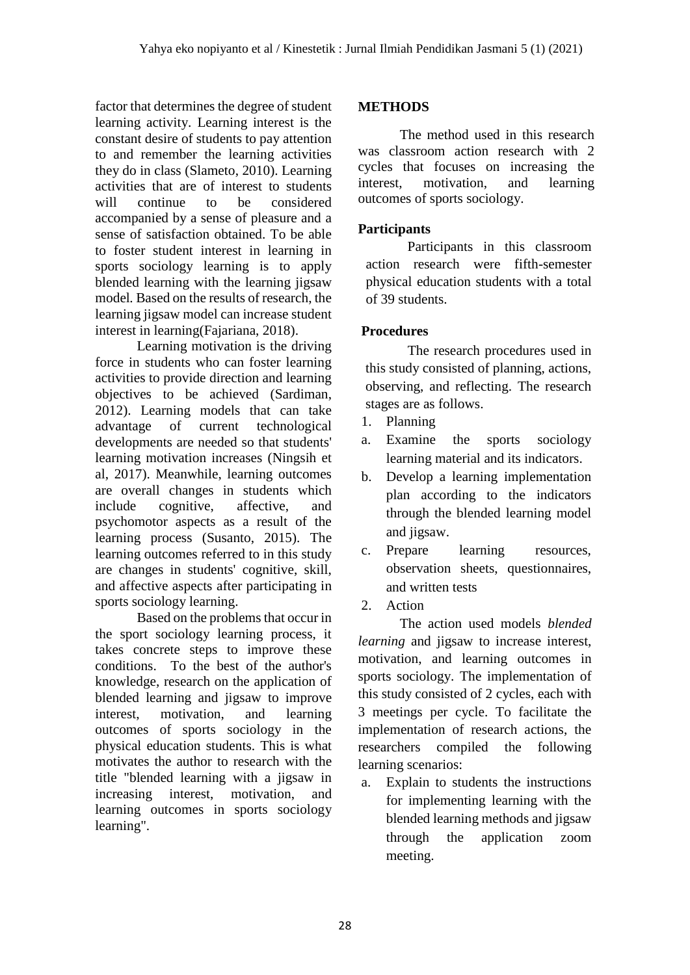factor that determines the degree of student learning activity. Learning interest is the constant desire of students to pay attention to and remember the learning activities they do in class (Slameto, 2010). Learning activities that are of interest to students will continue to be considered accompanied by a sense of pleasure and a sense of satisfaction obtained. To be able to foster student interest in learning in sports sociology learning is to apply blended learning with the learning jigsaw model*.* Based on the results of research, the learning jigsaw model can increase student interest in learning(Fajariana, 2018).

Learning motivation is the driving force in students who can foster learning activities to provide direction and learning objectives to be achieved (Sardiman, 2012). Learning models that can take advantage of current technological developments are needed so that students' learning motivation increases (Ningsih et al, 2017). Meanwhile, learning outcomes are overall changes in students which include cognitive, affective, and psychomotor aspects as a result of the learning process (Susanto, 2015). The learning outcomes referred to in this study are changes in students' cognitive, skill, and affective aspects after participating in sports sociology learning.

Based on the problems that occur in the sport sociology learning process, it takes concrete steps to improve these conditions. To the best of the author's knowledge, research on the application of blended learning and jigsaw to improve interest, motivation, and learning outcomes of sports sociology in the physical education students. This is what motivates the author to research with the title "blended learning with a jigsaw in increasing interest, motivation, and learning outcomes in sports sociology learning".

## **METHODS**

The method used in this research was classroom action research with 2 cycles that focuses on increasing the interest, motivation, and learning outcomes of sports sociology.

## **Participants**

Participants in this classroom action research were fifth-semester physical education students with a total of 39 students.

# **Procedures**

The research procedures used in this study consisted of planning, actions, observing, and reflecting. The research stages are as follows.

- 1. Planning
- a. Examine the sports sociology learning material and its indicators.
- b. Develop a learning implementation plan according to the indicators through the blended learning model and jigsaw.
- c. Prepare learning resources, observation sheets, questionnaires, and written tests
- 2. Action

The action used models *blended learning* and jigsaw to increase interest, motivation, and learning outcomes in sports sociology. The implementation of this study consisted of 2 cycles, each with 3 meetings per cycle. To facilitate the implementation of research actions, the researchers compiled the following learning scenarios:

a. Explain to students the instructions for implementing learning with the blended learning methods and jigsaw through the application zoom meeting.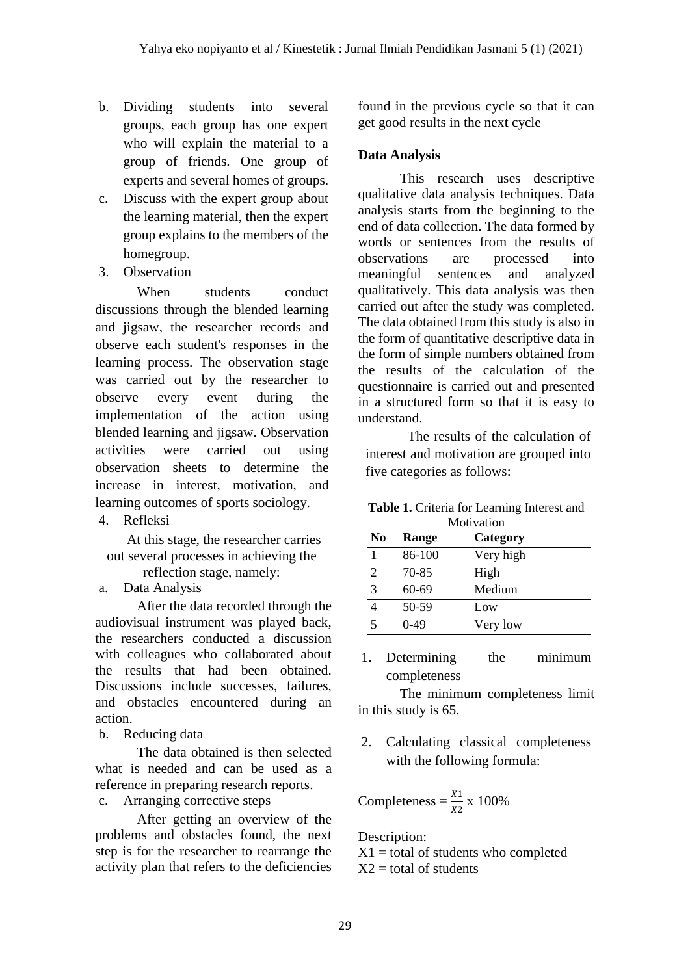- b. Dividing students into several groups, each group has one expert who will explain the material to a group of friends. One group of experts and several homes of groups.
- c. Discuss with the expert group about the learning material, then the expert group explains to the members of the homegroup.
- 3. Observation

When students conduct discussions through the blended learning and jigsaw, the researcher records and observe each student's responses in the learning process. The observation stage was carried out by the researcher to observe every event during the implementation of the action using blended learning and jigsaw. Observation activities were carried out using observation sheets to determine the increase in interest, motivation, and learning outcomes of sports sociology.

4. Refleksi

At this stage, the researcher carries out several processes in achieving the reflection stage, namely:

a. Data Analysis

After the data recorded through the audiovisual instrument was played back, the researchers conducted a discussion with colleagues who collaborated about the results that had been obtained. Discussions include successes, failures, and obstacles encountered during an action.

b. Reducing data

The data obtained is then selected what is needed and can be used as a reference in preparing research reports.

c. Arranging corrective steps

After getting an overview of the problems and obstacles found, the next step is for the researcher to rearrange the activity plan that refers to the deficiencies found in the previous cycle so that it can get good results in the next cycle

#### **Data Analysis**

This research uses descriptive qualitative data analysis techniques. Data analysis starts from the beginning to the end of data collection. The data formed by words or sentences from the results of observations are processed into meaningful sentences and analyzed qualitatively. This data analysis was then carried out after the study was completed. The data obtained from this study is also in the form of quantitative descriptive data in the form of simple numbers obtained from the results of the calculation of the questionnaire is carried out and presented in a structured form so that it is easy to understand.

The results of the calculation of interest and motivation are grouped into five categories as follows:

| Table 1. Criteria for Learning Interest and |
|---------------------------------------------|
| Motivation                                  |

| N <sub>0</sub>          | Range  | Category  |  |
|-------------------------|--------|-----------|--|
|                         | 86-100 | Very high |  |
| $\overline{2}$          | 70-85  | High      |  |
| $\mathcal{R}$           | 60-69  | Medium    |  |
|                         | 50-59  | Low       |  |
| $\overline{\mathbf{S}}$ | 0-49   | Very low  |  |

1. Determining the minimum completeness

The minimum completeness limit in this study is 65.

2. Calculating classical completeness with the following formula:

Completeness = 
$$
\frac{X_1}{X_2}
$$
 x 100%

Description:

 $X1 =$  total of students who completed  $X2 =$  total of students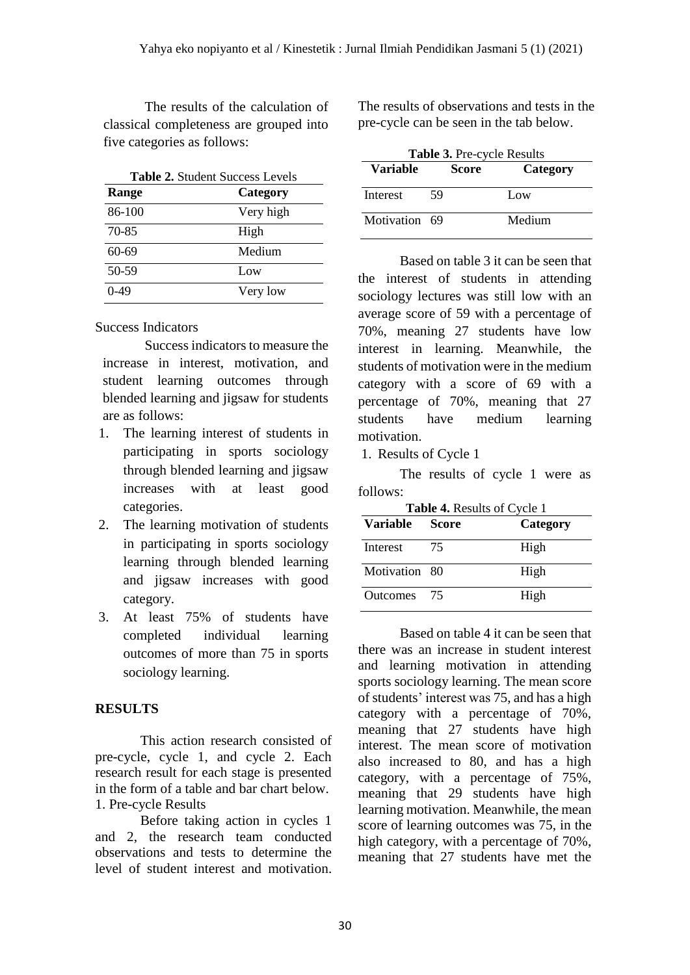The results of the calculation of classical completeness are grouped into five categories as follows:

| <b>Table 2. Student Success Levels</b> |           |  |  |
|----------------------------------------|-----------|--|--|
| Range                                  | Category  |  |  |
| 86-100                                 | Very high |  |  |
| 70-85                                  | High      |  |  |
| $60 - 69$                              | Medium    |  |  |
| 50-59                                  | Low       |  |  |
| $(1 - 49)$                             | Very low  |  |  |

Success Indicators

Success indicators to measure the increase in interest, motivation, and student learning outcomes through blended learning and jigsaw for students are as follows:

- 1. The learning interest of students in participating in sports sociology through blended learning and jigsaw increases with at least good categories.
- 2. The learning motivation of students in participating in sports sociology learning through blended learning and jigsaw increases with good category.
- 3. At least 75% of students have completed individual learning outcomes of more than 75 in sports sociology learning.

#### **RESULTS**

This action research consisted of pre-cycle, cycle 1, and cycle 2. Each research result for each stage is presented in the form of a table and bar chart below. 1. Pre-cycle Results

Before taking action in cycles 1 and 2, the research team conducted observations and tests to determine the level of student interest and motivation. The results of observations and tests in the pre-cycle can be seen in the tab below.

| <b>Table 3. Pre-cycle Results</b> |       |          |  |  |  |
|-----------------------------------|-------|----------|--|--|--|
| Variable                          | Score | Category |  |  |  |
| Interest                          | 59    | Low.     |  |  |  |
| Motivation 69                     |       | Medium   |  |  |  |

Based on table 3 it can be seen that the interest of students in attending sociology lectures was still low with an average score of 59 with a percentage of 70%, meaning 27 students have low interest in learning. Meanwhile, the students of motivation were in the medium category with a score of 69 with a percentage of 70%, meaning that 27 students have medium learning motivation.

1. Results of Cycle 1

The results of cycle 1 were as follows:  $T = 4.8 \pm 10.4$  Cycle 1.

| <b>Variable</b> | <b>Table 4.</b> Results of Cycle 1<br>Category |      |
|-----------------|------------------------------------------------|------|
| Interest        | <b>Score</b><br>75                             | High |
| Motivation 80   |                                                | High |
| <b>Outcomes</b> | 75                                             | High |

Based on table 4 it can be seen that there was an increase in student interest and learning motivation in attending sports sociology learning. The mean score of students' interest was 75, and has a high category with a percentage of 70%, meaning that 27 students have high interest. The mean score of motivation also increased to 80, and has a high category, with a percentage of 75%, meaning that 29 students have high learning motivation. Meanwhile, the mean score of learning outcomes was 75, in the high category, with a percentage of 70%, meaning that 27 students have met the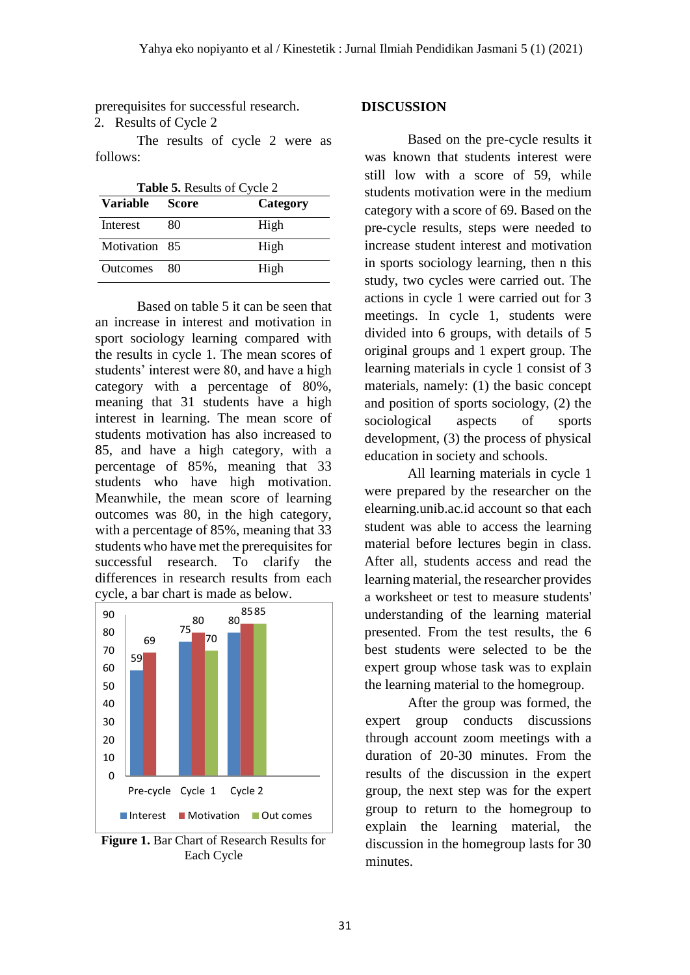prerequisites for successful research.

## 2. Results of Cycle 2

The results of cycle 2 were as follows:

| <b>Table 5. Results of Cycle 2</b> |              |          |  |
|------------------------------------|--------------|----------|--|
| <b>Variable</b>                    | <b>Score</b> | Category |  |
| Interest                           | 80           | High     |  |
| Motivation 85                      |              | High     |  |
| <b>Outcomes</b>                    | 80           | High     |  |

Based on table 5 it can be seen that an increase in interest and motivation in sport sociology learning compared with the results in cycle 1. The mean scores of students' interest were 80, and have a high category with a percentage of 80%, meaning that 31 students have a high interest in learning. The mean score of students motivation has also increased to 85, and have a high category, with a percentage of 85%, meaning that 33 students who have high motivation. Meanwhile, the mean score of learning outcomes was 80, in the high category, with a percentage of 85%, meaning that 33 students who have met the prerequisites for successful research. To clarify the differences in research results from each cycle, a bar chart is made as below.



**Figure 1.** Bar Chart of Research Results for Each Cycle

#### **DISCUSSION**

Based on the pre-cycle results it was known that students interest were still low with a score of 59, while students motivation were in the medium category with a score of 69. Based on the pre-cycle results, steps were needed to increase student interest and motivation in sports sociology learning, then n this study, two cycles were carried out. The actions in cycle 1 were carried out for 3 meetings. In cycle 1, students were divided into 6 groups, with details of 5 original groups and 1 expert group. The learning materials in cycle 1 consist of 3 materials, namely: (1) the basic concept and position of sports sociology, (2) the sociological aspects of sports development, (3) the process of physical education in society and schools.

All learning materials in cycle 1 were prepared by the researcher on the elearning.unib.ac.id account so that each student was able to access the learning material before lectures begin in class. After all, students access and read the learning material, the researcher provides a worksheet or test to measure students' understanding of the learning material presented. From the test results, the 6 best students were selected to be the expert group whose task was to explain the learning material to the homegroup.

After the group was formed, the expert group conducts discussions through account zoom meetings with a duration of 20-30 minutes. From the results of the discussion in the expert group, the next step was for the expert group to return to the homegroup to explain the learning material, the discussion in the homegroup lasts for 30 minutes.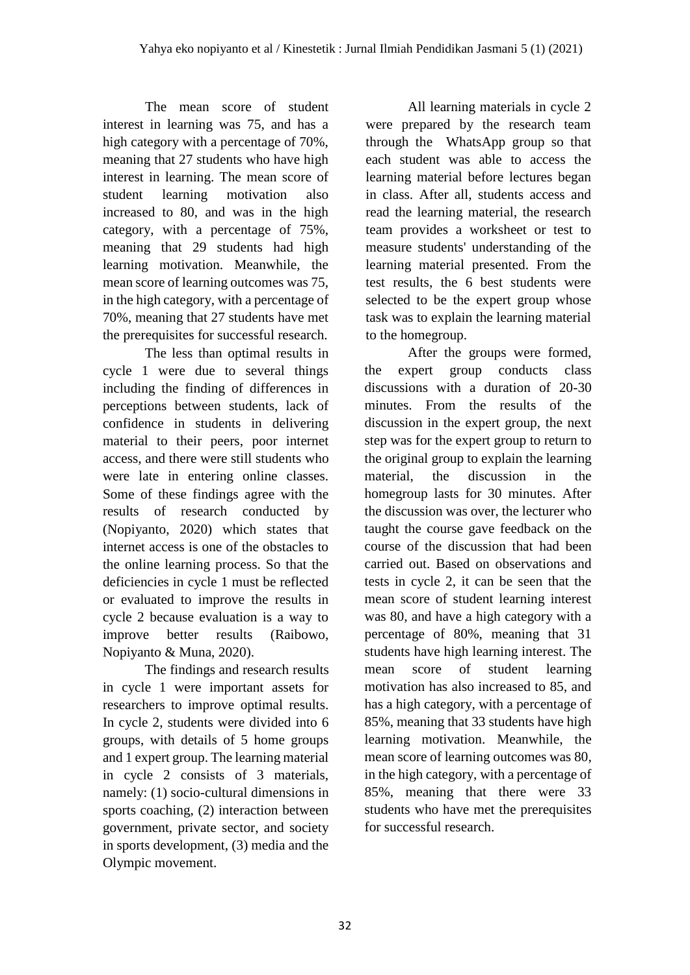The mean score of student interest in learning was 75, and has a high category with a percentage of 70%, meaning that 27 students who have high interest in learning. The mean score of student learning motivation also increased to 80, and was in the high category, with a percentage of 75%, meaning that 29 students had high learning motivation. Meanwhile, the mean score of learning outcomes was 75, in the high category, with a percentage of 70%, meaning that 27 students have met the prerequisites for successful research.

The less than optimal results in cycle 1 were due to several things including the finding of differences in perceptions between students, lack of confidence in students in delivering material to their peers, poor internet access, and there were still students who were late in entering online classes. Some of these findings agree with the results of research conducted by (Nopiyanto, 2020) which states that internet access is one of the obstacles to the online learning process. So that the deficiencies in cycle 1 must be reflected or evaluated to improve the results in cycle 2 because evaluation is a way to improve better results (Raibowo, Nopiyanto & Muna, 2020).

The findings and research results in cycle 1 were important assets for researchers to improve optimal results. In cycle 2, students were divided into 6 groups, with details of 5 home groups and 1 expert group. The learning material in cycle 2 consists of 3 materials, namely: (1) socio-cultural dimensions in sports coaching, (2) interaction between government, private sector, and society in sports development, (3) media and the Olympic movement.

All learning materials in cycle 2 were prepared by the research team through the WhatsApp group so that each student was able to access the learning material before lectures began in class. After all, students access and read the learning material, the research team provides a worksheet or test to measure students' understanding of the learning material presented. From the test results, the 6 best students were selected to be the expert group whose task was to explain the learning material to the homegroup.

After the groups were formed, the expert group conducts class discussions with a duration of 20-30 minutes. From the results of the discussion in the expert group, the next step was for the expert group to return to the original group to explain the learning material, the discussion in the homegroup lasts for 30 minutes. After the discussion was over, the lecturer who taught the course gave feedback on the course of the discussion that had been carried out. Based on observations and tests in cycle 2, it can be seen that the mean score of student learning interest was 80, and have a high category with a percentage of 80%, meaning that 31 students have high learning interest. The mean score of student learning motivation has also increased to 85, and has a high category, with a percentage of 85%, meaning that 33 students have high learning motivation. Meanwhile, the mean score of learning outcomes was 80, in the high category, with a percentage of 85%, meaning that there were 33 students who have met the prerequisites for successful research.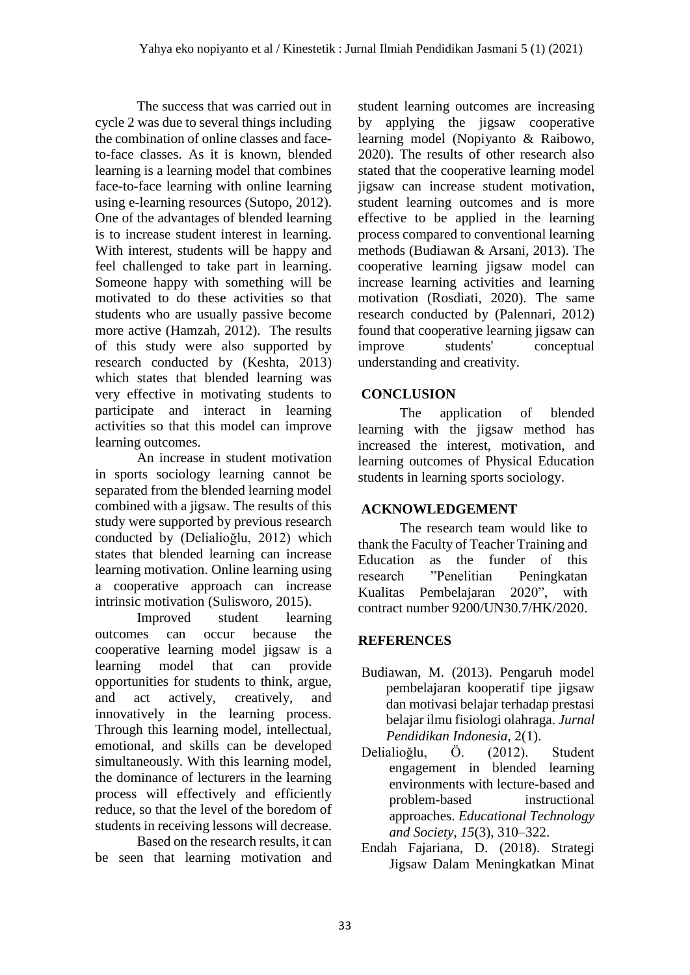The success that was carried out in cycle 2 was due to several things including the combination of online classes and faceto-face classes. As it is known, blended learning is a learning model that combines face-to-face learning with online learning using e-learning resources (Sutopo, 2012). One of the advantages of blended learning is to increase student interest in learning. With interest, students will be happy and feel challenged to take part in learning. Someone happy with something will be motivated to do these activities so that students who are usually passive become more active (Hamzah, 2012). The results of this study were also supported by research conducted by (Keshta, 2013) which states that blended learning was very effective in motivating students to participate and interact in learning activities so that this model can improve learning outcomes.

An increase in student motivation in sports sociology learning cannot be separated from the blended learning model combined with a jigsaw. The results of this study were supported by previous research conducted by (Delialioğlu, 2012) which states that blended learning can increase learning motivation. Online learning using a cooperative approach can increase intrinsic motivation (Sulisworo, 2015).

Improved student learning outcomes can occur because the cooperative learning model jigsaw is a learning model that can provide opportunities for students to think, argue, and act actively, creatively, and innovatively in the learning process. Through this learning model, intellectual, emotional, and skills can be developed simultaneously. With this learning model, the dominance of lecturers in the learning process will effectively and efficiently reduce, so that the level of the boredom of students in receiving lessons will decrease.

Based on the research results, it can be seen that learning motivation and

student learning outcomes are increasing by applying the jigsaw cooperative learning model (Nopiyanto & Raibowo, 2020). The results of other research also stated that the cooperative learning model jigsaw can increase student motivation, student learning outcomes and is more effective to be applied in the learning process compared to conventional learning methods (Budiawan & Arsani, 2013). The cooperative learning jigsaw model can increase learning activities and learning motivation (Rosdiati, 2020). The same research conducted by (Palennari, 2012) found that cooperative learning jigsaw can improve students' conceptual understanding and creativity.

## **CONCLUSION**

The application of blended learning with the jigsaw method has increased the interest, motivation, and learning outcomes of Physical Education students in learning sports sociology.

## **ACKNOWLEDGEMENT**

The research team would like to thank the Faculty of Teacher Training and Education as the funder of this research "Penelitian Peningkatan Kualitas Pembelajaran 2020", with contract number 9200/UN30.7/HK/2020.

## **REFERENCES**

- Budiawan, M. (2013). Pengaruh model pembelajaran kooperatif tipe jigsaw dan motivasi belajar terhadap prestasi belajar ilmu fisiologi olahraga. *Jurnal Pendidikan Indonesia*, 2(1).
- Delialioǧlu, Ö. (2012). Student engagement in blended learning environments with lecture-based and problem-based instructional approaches. *Educational Technology and Society*, *15*(3), 310–322.
- Endah Fajariana, D. (2018). Strategi Jigsaw Dalam Meningkatkan Minat